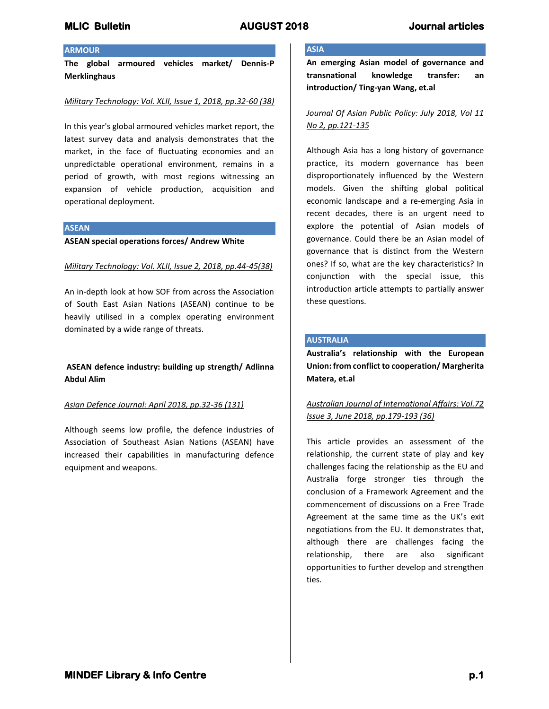## **ARMOUR**

**The global armoured vehicles market/ Dennis-P Merklinghaus**

### *Military Technology: Vol. XLII, Issue 1, 2018, pp.32-60 (38)*

In this year's global armoured vehicles market report, the latest survey data and analysis demonstrates that the market, in the face of fluctuating economies and an unpredictable operational environment, remains in a period of growth, with most regions witnessing an expansion of vehicle production, acquisition and operational deployment.

#### **ASEAN**

#### **ASEAN special operations forces/ Andrew White**

### *Military Technology: Vol. XLII, Issue 2, 2018, pp.44-45(38)*

An in-depth look at how SOF from across the Association of South East Asian Nations (ASEAN) continue to be heavily utilised in a complex operating environment dominated by a wide range of threats.

# **ASEAN defence industry: building up strength/ Adlinna Abdul Alim**

### *Asian Defence Journal: April 2018, pp.32-36 (131)*

Although seems low profile, the defence industries of Association of Southeast Asian Nations (ASEAN) have increased their capabilities in manufacturing defence equipment and weapons.

## **ASIA**

**An emerging Asian model of governance and transnational knowledge transfer: an introduction/ Ting-yan Wang, et.al**

## *Journal Of Asian Public Policy: July 2018, Vol 11 No 2, pp.121-135*

Although Asia has a long history of governance practice, its modern governance has been disproportionately influenced by the Western models. Given the shifting global political economic landscape and a re-emerging Asia in recent decades, there is an urgent need to explore the potential of Asian models of governance. Could there be an Asian model of governance that is distinct from the Western ones? If so, what are the key characteristics? In conjunction with the special issue, this introduction article attempts to partially answer these questions.

## **AUSTRALIA**

**Australia's relationship with the European Union: from conflict to cooperation/ Margherita Matera, et.al**

# *Australian Journal of International Affairs: Vol.72 Issue 3, June 2018, pp.179-193 (36)*

This article provides an assessment of the relationship, the current state of play and key challenges facing the relationship as the EU and Australia forge stronger ties through the conclusion of a Framework Agreement and the commencement of discussions on a Free Trade Agreement at the same time as the UK's exit negotiations from the EU. It demonstrates that, although there are challenges facing the relationship, there are also significant opportunities to further develop and strengthen ties.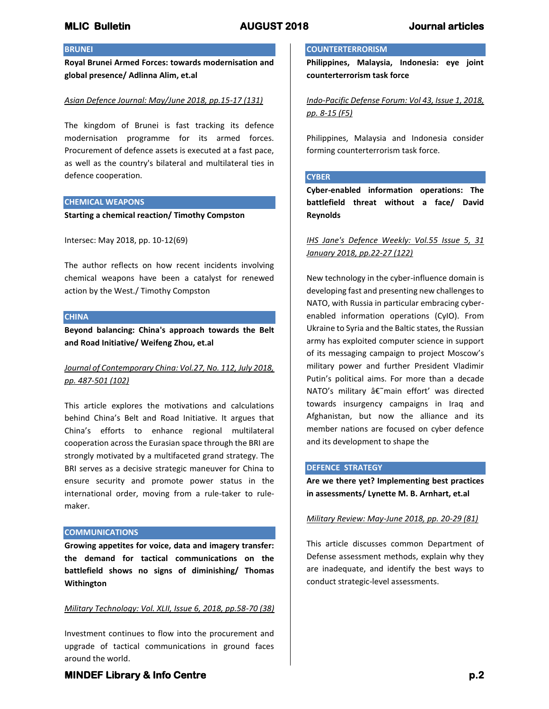## **BRUNEI**

**Royal Brunei Armed Forces: towards modernisation and global presence/ Adlinna Alim, et.al** 

### *Asian Defence Journal: May/June 2018, pp.15-17 (131)*

The kingdom of Brunei is fast tracking its defence modernisation programme for its armed forces. Procurement of defence assets is executed at a fast pace, as well as the country's bilateral and multilateral ties in defence cooperation.

### **CHEMICAL WEAPONS**

**Starting a chemical reaction/ Timothy Compston**

Intersec: May 2018, pp. 10-12(69)

The author reflects on how recent incidents involving chemical weapons have been a catalyst for renewed action by the West./ Timothy Compston

#### **CHINA**

**Beyond balancing: China's approach towards the Belt and Road Initiative/ Weifeng Zhou, et.al**

# *Journal of Contemporary China: Vol.27, No. 112, July 2018, pp. 487-501 (102)*

This article explores the motivations and calculations behind China's Belt and Road Initiative. It argues that China's efforts to enhance regional multilateral cooperation across the Eurasian space through the BRI are strongly motivated by a multifaceted grand strategy. The BRI serves as a decisive strategic maneuver for China to ensure security and promote power status in the international order, moving from a rule-taker to rulemaker.

### **COMMUNICATIONS**

**Growing appetites for voice, data and imagery transfer: the demand for tactical communications on the battlefield shows no signs of diminishing/ Thomas Withington**

### *Military Technology: Vol. XLII, Issue 6, 2018, pp.58-70 (38)*

Investment continues to flow into the procurement and upgrade of tactical communications in ground faces around the world.

## **COUNTERTERRORISM**

**Philippines, Malaysia, Indonesia: eye joint counterterrorism task force**

*Indo-Pacific Defense Forum: Vol 43, Issue 1, 2018, pp. 8-15 (F5)*

Philippines, Malaysia and Indonesia consider forming counterterrorism task force.

#### **CYBER**

**Cyber-enabled information operations: The battlefield threat without a face/ David Reynolds**

# *IHS Jane's Defence Weekly: Vol.55 Issue 5, 31 January 2018, pp.22-27 (122)*

New technology in the cyber-influence domain is developing fast and presenting new challenges to NATO, with Russia in particular embracing cyberenabled information operations (CyIO). From Ukraine to Syria and the Baltic states, the Russian army has exploited computer science in support of its messaging campaign to project Moscow's military power and further President Vladimir Putin's political aims. For more than a decade NATO's military  $\hat{a}\hat{\epsilon}$ "main effort' was directed towards insurgency campaigns in Iraq and Afghanistan, but now the alliance and its member nations are focused on cyber defence and its development to shape the

## **DEFENCE STRATEGY**

**Are we there yet? Implementing best practices in assessments/ Lynette M. B. Arnhart, et.al**

### *Military Review: May-June 2018, pp. 20-29 (81)*

This article discusses common Department of Defense assessment methods, explain why they are inadequate, and identify the best ways to conduct strategic-level assessments.

# **MINDEF Library & Info Centre** *p.2* **<b>p.2 p.2**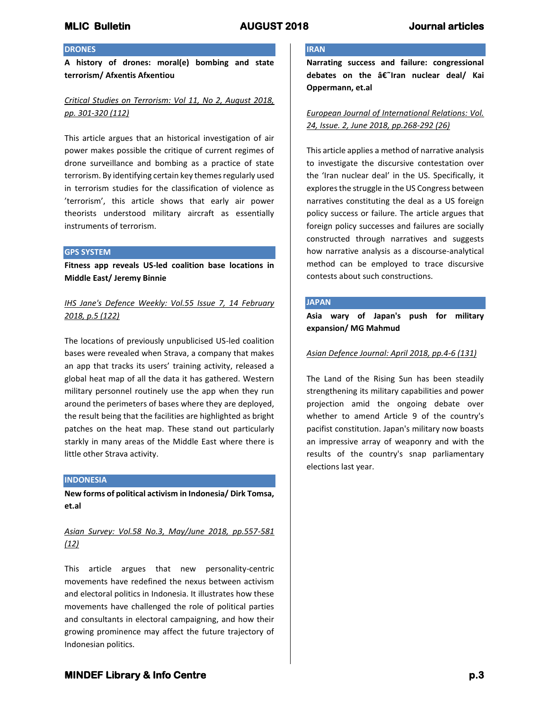# **MLIC Bulletin AUGUST 2018 Journal articles**

### **DRONES**

**A history of drones: moral(e) bombing and state terrorism/ Afxentis Afxentiou**

# *Critical Studies on Terrorism: Vol 11, No 2, August 2018, pp. 301-320 (112)*

This article argues that an historical investigation of air power makes possible the critique of current regimes of drone surveillance and bombing as a practice of state terrorism. By identifying certain key themes regularly used in terrorism studies for the classification of violence as 'terrorism', this article shows that early air power theorists understood military aircraft as essentially instruments of terrorism.

#### **GPS SYSTEM**

**Fitness app reveals US-led coalition base locations in Middle East/ Jeremy Binnie**

# *IHS Jane's Defence Weekly: Vol.55 Issue 7, 14 February 2018, p.5 (122)*

The locations of previously unpublicised US-led coalition bases were revealed when Strava, a company that makes an app that tracks its users' training activity, released a global heat map of all the data it has gathered. Western military personnel routinely use the app when they run around the perimeters of bases where they are deployed, the result being that the facilities are highlighted as bright patches on the heat map. These stand out particularly starkly in many areas of the Middle East where there is little other Strava activity.

### **INDONESIA**

**New forms of political activism in Indonesia/ Dirk Tomsa, et.al**

*Asian Survey: Vol.58 No.3, May/June 2018, pp.557-581 (12)*

This article argues that new personality-centric movements have redefined the nexus between activism and electoral politics in Indonesia. It illustrates how these movements have challenged the role of political parties and consultants in electoral campaigning, and how their growing prominence may affect the future trajectory of Indonesian politics.

## **IRAN**

**Narrating success and failure: congressional debates on the †Iran nuclear deal/ Kai Oppermann, et.al**

## *European Journal of International Relations: Vol. 24, Issue. 2, June 2018, pp.268-292 (26)*

This article applies a method of narrative analysis to investigate the discursive contestation over the 'Iran nuclear deal' in the US. Specifically, it explores the struggle in the US Congress between narratives constituting the deal as a US foreign policy success or failure. The article argues that foreign policy successes and failures are socially constructed through narratives and suggests how narrative analysis as a discourse-analytical method can be employed to trace discursive contests about such constructions.

#### **JAPAN**

**Asia wary of Japan's push for military expansion/ MG Mahmud**

#### *Asian Defence Journal: April 2018, pp.4-6 (131)*

The Land of the Rising Sun has been steadily strengthening its military capabilities and power projection amid the ongoing debate over whether to amend Article 9 of the country's pacifist constitution. Japan's military now boasts an impressive array of weaponry and with the results of the country's snap parliamentary elections last year.

# **MINDEF Library & Info Centre** *p.3* **p.3**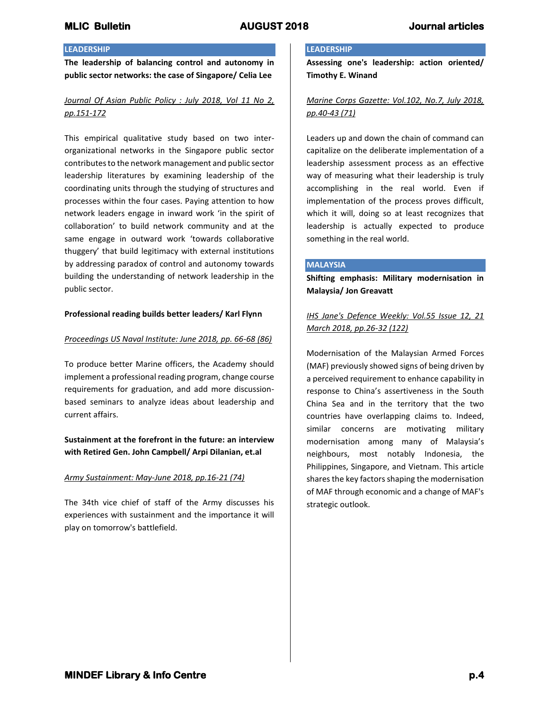## **LEADERSHIP**

**The leadership of balancing control and autonomy in public sector networks: the case of Singapore/ Celia Lee**

# *Journal Of Asian Public Policy : July 2018, Vol 11 No 2, pp.151-172*

This empirical qualitative study based on two interorganizational networks in the Singapore public sector contributes to the network management and public sector leadership literatures by examining leadership of the coordinating units through the studying of structures and processes within the four cases. Paying attention to how network leaders engage in inward work 'in the spirit of collaboration' to build network community and at the same engage in outward work 'towards collaborative thuggery' that build legitimacy with external institutions by addressing paradox of control and autonomy towards building the understanding of network leadership in the public sector.

## **Professional reading builds better leaders/ Karl Flynn**

## *Proceedings US Naval Institute: June 2018, pp. 66-68 (86)*

To produce better Marine officers, the Academy should implement a professional reading program, change course requirements for graduation, and add more discussionbased seminars to analyze ideas about leadership and current affairs.

**Sustainment at the forefront in the future: an interview with Retired Gen. John Campbell/ Arpi Dilanian, et.al**

## *Army Sustainment: May-June 2018, pp.16-21 (74)*

The 34th vice chief of staff of the Army discusses his experiences with sustainment and the importance it will play on tomorrow's battlefield.

## **LEADERSHIP**

**Assessing one's leadership: action oriented/ Timothy E. Winand**

# *Marine Corps Gazette: Vol.102, No.7, July 2018, pp.40-43 (71)*

Leaders up and down the chain of command can capitalize on the deliberate implementation of a leadership assessment process as an effective way of measuring what their leadership is truly accomplishing in the real world. Even if implementation of the process proves difficult, which it will, doing so at least recognizes that leadership is actually expected to produce something in the real world.

### **MALAYSIA**

**Shifting emphasis: Military modernisation in Malaysia/ Jon Greavatt**

*IHS Jane's Defence Weekly: Vol.55 Issue 12, 21 March 2018, pp.26-32 (122)*

Modernisation of the Malaysian Armed Forces (MAF) previously showed signs of being driven by a perceived requirement to enhance capability in response to China's assertiveness in the South China Sea and in the territory that the two countries have overlapping claims to. Indeed, similar concerns are motivating military modernisation among many of Malaysia's neighbours, most notably Indonesia, the Philippines, Singapore, and Vietnam. This article shares the key factors shaping the modernisation of MAF through economic and a change of MAF's strategic outlook.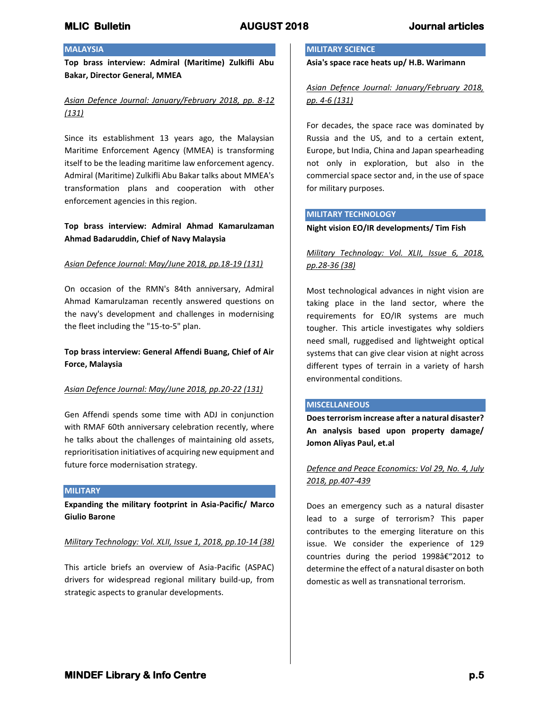## **MALAYSIA**

**Top brass interview: Admiral (Maritime) Zulkifli Abu Bakar, Director General, MMEA**

# *Asian Defence Journal: January/February 2018, pp. 8-12 (131)*

Since its establishment 13 years ago, the Malaysian Maritime Enforcement Agency (MMEA) is transforming itself to be the leading maritime law enforcement agency. Admiral (Maritime) Zulkifli Abu Bakar talks about MMEA's transformation plans and cooperation with other enforcement agencies in this region.

## **Top brass interview: Admiral Ahmad Kamarulzaman Ahmad Badaruddin, Chief of Navy Malaysia**

### *Asian Defence Journal: May/June 2018, pp.18-19 (131)*

On occasion of the RMN's 84th anniversary, Admiral Ahmad Kamarulzaman recently answered questions on the navy's development and challenges in modernising the fleet including the "15-to-5" plan.

# **Top brass interview: General Affendi Buang, Chief of Air Force, Malaysia**

### *Asian Defence Journal: May/June 2018, pp.20-22 (131)*

Gen Affendi spends some time with ADJ in conjunction with RMAF 60th anniversary celebration recently, where he talks about the challenges of maintaining old assets, reprioritisation initiatives of acquiring new equipment and future force modernisation strategy.

#### **MILITARY**

**Expanding the military footprint in Asia-Pacific/ Marco Giulio Barone**

*Military Technology: Vol. XLII, Issue 1, 2018, pp.10-14 (38)*

This article briefs an overview of Asia-Pacific (ASPAC) drivers for widespread regional military build-up, from strategic aspects to granular developments.

## **MILITARY SCIENCE**

**Asia's space race heats up/ H.B. Warimann**

*Asian Defence Journal: January/February 2018, pp. 4-6 (131)*

For decades, the space race was dominated by Russia and the US, and to a certain extent, Europe, but India, China and Japan spearheading not only in exploration, but also in the commercial space sector and, in the use of space for military purposes.

### **MILITARY TECHNOLOGY**

#### **Night vision EO/IR developments/ Tim Fish**

# *Military Technology: Vol. XLII, Issue 6, 2018, pp.28-36 (38)*

Most technological advances in night vision are taking place in the land sector, where the requirements for EO/IR systems are much tougher. This article investigates why soldiers need small, ruggedised and lightweight optical systems that can give clear vision at night across different types of terrain in a variety of harsh environmental conditions.

### **MISCELLANEOUS**

**Does terrorism increase after a natural disaster? An analysis based upon property damage/ Jomon Aliyas Paul, et.al**

*Defence and Peace Economics: Vol 29, No. 4, July 2018, pp.407-439*

Does an emergency such as a natural disaster lead to a surge of terrorism? This paper contributes to the emerging literature on this issue. We consider the experience of 129 countries during the period 1998â€"2012 to determine the effect of a natural disaster on both domestic as well as transnational terrorism.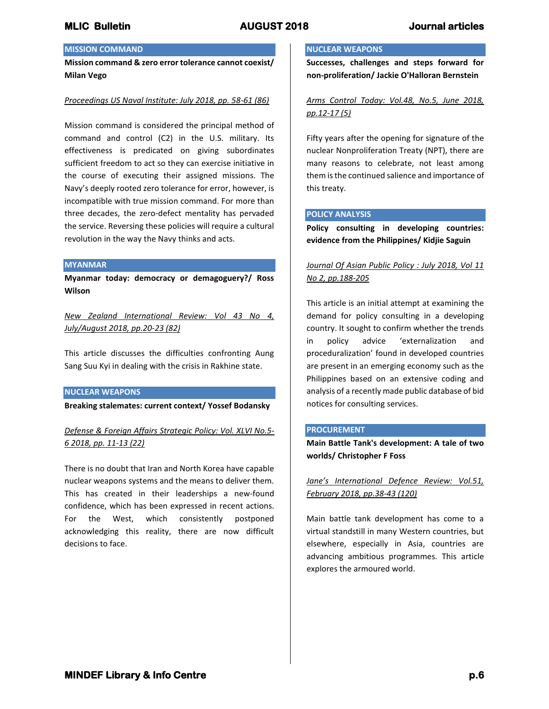# **MISSION COMMAND**

**Mission command & zero error tolerance cannot coexist/ Milan Vego**

#### *Proceedings US Naval Institute: July 2018, pp. 58-61 (86)*

Mission command is considered the principal method of command and control (C2) in the U.S. military. Its effectiveness is predicated on giving subordinates sufficient freedom to act so they can exercise initiative in the course of executing their assigned missions. The Navy's deeply rooted zero tolerance for error, however, is incompatible with true mission command. For more than three decades, the zero-defect mentality has pervaded the service. Reversing these policies will require a cultural revolution in the way the Navy thinks and acts.

#### **MYANMAR**

**Myanmar today: democracy or demagoguery?/ Ross Wilson**

*New Zealand International Review: Vol 43 No 4, July/August 2018, pp.20-23 (82)*

This article discusses the difficulties confronting Aung Sang Suu Kyi in dealing with the crisis in Rakhine state.

#### **NUCLEAR WEAPONS**

**Breaking stalemates: current context/ Yossef Bodansky**

# *Defense & Foreign Affairs Strategic Policy: Vol. XLVI No.5- 6 2018, pp. 11-13 (22)*

There is no doubt that Iran and North Korea have capable nuclear weapons systems and the means to deliver them. This has created in their leaderships a new-found confidence, which has been expressed in recent actions. For the West, which consistently postponed acknowledging this reality, there are now difficult decisions to face.

## **NUCLEAR WEAPONS**

**Successes, challenges and steps forward for non-proliferation/ Jackie O'Halloran Bernstein** 

*Arms Control Today: Vol.48, No.5, June 2018, pp.12-17 (5)*

Fifty years after the opening for signature of the nuclear Nonproliferation Treaty (NPT), there are many reasons to celebrate, not least among them is the continued salience and importance of this treaty.

#### **POLICY ANALYSIS**

**Policy consulting in developing countries: evidence from the Philippines/ Kidjie Saguin**

*Journal Of Asian Public Policy : July 2018, Vol 11 No 2, pp.188-205*

This article is an initial attempt at examining the demand for policy consulting in a developing country. It sought to confirm whether the trends in policy advice 'externalization and proceduralization' found in developed countries are present in an emerging economy such as the Philippines based on an extensive coding and analysis of a recently made public database of bid notices for consulting services.

### **PROCUREMENT**

**Main Battle Tank's development: A tale of two worlds/ Christopher F Foss**

*Jane's International Defence Review: Vol.51, February 2018, pp.38-43 (120)*

Main battle tank development has come to a virtual standstill in many Western countries, but elsewhere, especially in Asia, countries are advancing ambitious programmes. This article explores the armoured world.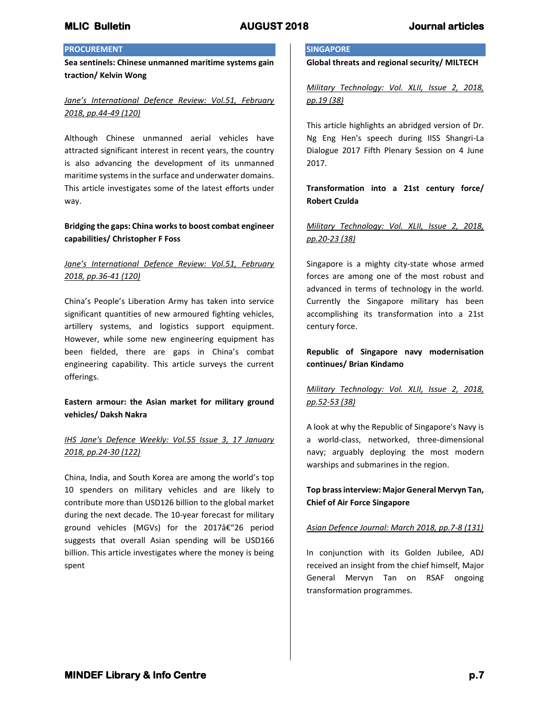# **PROCUREMENT**

**Sea sentinels: Chinese unmanned maritime systems gain traction/ Kelvin Wong**

# *Jane's International Defence Review: Vol.51, February 2018, pp.44-49 (120)*

Although Chinese unmanned aerial vehicles have attracted significant interest in recent years, the country is also advancing the development of its unmanned maritime systems in the surface and underwater domains. This article investigates some of the latest efforts under way.

## **Bridging the gaps: China works to boost combat engineer capabilities/ Christopher F Foss**

# *Jane's International Defence Review: Vol.51, February 2018, pp.36-41 (120)*

China's People's Liberation Army has taken into service significant quantities of new armoured fighting vehicles, artillery systems, and logistics support equipment. However, while some new engineering equipment has been fielded, there are gaps in China's combat engineering capability. This article surveys the current offerings.

## **Eastern armour: the Asian market for military ground vehicles/ Daksh Nakra**

# *IHS Jane's Defence Weekly: Vol.55 Issue 3, 17 January 2018, pp.24-30 (122)*

China, India, and South Korea are among the world's top 10 spenders on military vehicles and are likely to contribute more than USD126 billion to the global market during the next decade. The 10-year forecast for military ground vehicles (MGVs) for the 2017â€"26 period suggests that overall Asian spending will be USD166 billion. This article investigates where the money is being spent

## **SINGAPORE**

**Global threats and regional security/ MILTECH**

*Military Technology: Vol. XLII, Issue 2, 2018, pp.19 (38)*

This article highlights an abridged version of Dr. Ng Eng Hen's speech during IISS Shangri-La Dialogue 2017 Fifth Plenary Session on 4 June 2017.

# **Transformation into a 21st century force/ Robert Czulda**

# *Military Technology: Vol. XLII, Issue 2, 2018, pp.20-23 (38)*

Singapore is a mighty city-state whose armed forces are among one of the most robust and advanced in terms of technology in the world. Currently the Singapore military has been accomplishing its transformation into a 21st century force.

# **Republic of Singapore navy modernisation continues/ Brian Kindamo**

# *Military Technology: Vol. XLII, Issue 2, 2018, pp.52-53 (38)*

A look at why the Republic of Singapore's Navy is a world-class, networked, three-dimensional navy; arguably deploying the most modern warships and submarines in the region.

# **Top brass interview: Major General Mervyn Tan, Chief of Air Force Singapore**

## *Asian Defence Journal: March 2018, pp.7-8 (131)*

In conjunction with its Golden Jubilee, ADJ received an insight from the chief himself, Major General Mervyn Tan on RSAF ongoing transformation programmes.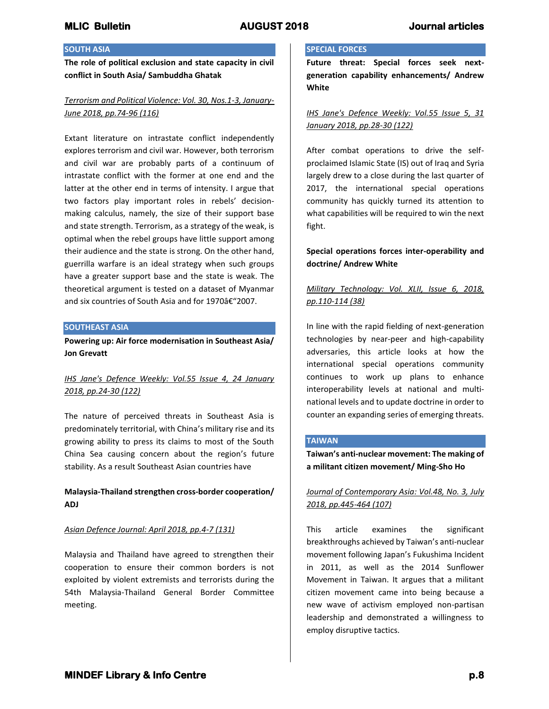## **SOUTH ASIA**

**The role of political exclusion and state capacity in civil conflict in South Asia/ Sambuddha Ghatak**

# *Terrorism and Political Violence: Vol. 30, Nos.1-3, January-June 2018, pp.74-96 (116)*

Extant literature on intrastate conflict independently explores terrorism and civil war. However, both terrorism and civil war are probably parts of a continuum of intrastate conflict with the former at one end and the latter at the other end in terms of intensity. I argue that two factors play important roles in rebels' decisionmaking calculus, namely, the size of their support base and state strength. Terrorism, as a strategy of the weak, is optimal when the rebel groups have little support among their audience and the state is strong. On the other hand, guerrilla warfare is an ideal strategy when such groups have a greater support base and the state is weak. The theoretical argument is tested on a dataset of Myanmar and six countries of South Asia and for 1970–2007.

## **SOUTHEAST ASIA**

**Powering up: Air force modernisation in Southeast Asia/ Jon Grevatt**

# *IHS Jane's Defence Weekly: Vol.55 Issue 4, 24 January 2018, pp.24-30 (122)*

The nature of perceived threats in Southeast Asia is predominately territorial, with China's military rise and its growing ability to press its claims to most of the South China Sea causing concern about the region's future stability. As a result Southeast Asian countries have

## **Malaysia-Thailand strengthen cross-border cooperation/ ADJ**

### *Asian Defence Journal: April 2018, pp.4-7 (131)*

Malaysia and Thailand have agreed to strengthen their cooperation to ensure their common borders is not exploited by violent extremists and terrorists during the 54th Malaysia-Thailand General Border Committee meeting.

## **SPECIAL FORCES**

**Future threat: Special forces seek nextgeneration capability enhancements/ Andrew White**

## *IHS Jane's Defence Weekly: Vol.55 Issue 5, 31 January 2018, pp.28-30 (122)*

After combat operations to drive the selfproclaimed Islamic State (IS) out of Iraq and Syria largely drew to a close during the last quarter of 2017, the international special operations community has quickly turned its attention to what capabilities will be required to win the next fight.

# **Special operations forces inter-operability and doctrine/ Andrew White**

# *Military Technology: Vol. XLII, Issue 6, 2018, pp.110-114 (38)*

In line with the rapid fielding of next-generation technologies by near-peer and high-capability adversaries, this article looks at how the international special operations community continues to work up plans to enhance interoperability levels at national and multinational levels and to update doctrine in order to counter an expanding series of emerging threats.

## **TAIWAN**

**Taiwan's anti-nuclear movement: The making of a militant citizen movement/ Ming-Sho Ho**

## *Journal of Contemporary Asia: Vol.48, No. 3, July 2018, pp.445-464 (107)*

This article examines the significant breakthroughs achieved by Taiwan's anti-nuclear movement following Japan's Fukushima Incident in 2011, as well as the 2014 Sunflower Movement in Taiwan. It argues that a militant citizen movement came into being because a new wave of activism employed non-partisan leadership and demonstrated a willingness to employ disruptive tactics.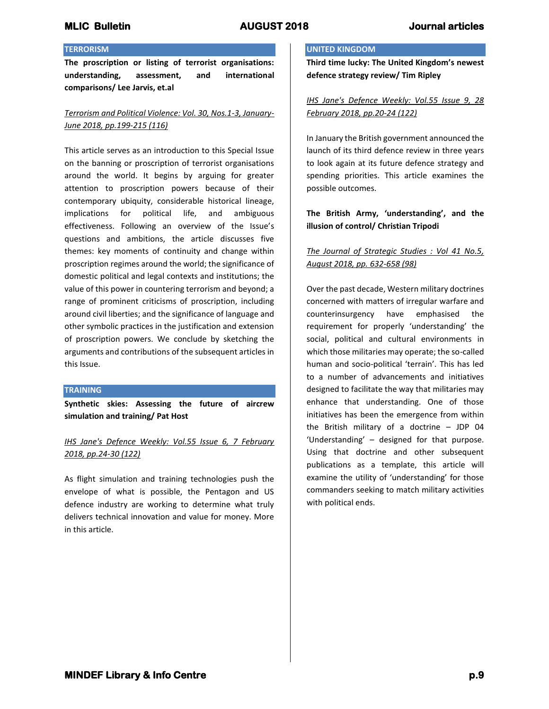### **TERRORISM**

**The proscription or listing of terrorist organisations: understanding, assessment, and international comparisons/ Lee Jarvis, et.al**

# *Terrorism and Political Violence: Vol. 30, Nos.1-3, January-June 2018, pp.199-215 (116)*

This article serves as an introduction to this Special Issue on the banning or proscription of terrorist organisations around the world. It begins by arguing for greater attention to proscription powers because of their contemporary ubiquity, considerable historical lineage, implications for political life, and ambiguous effectiveness. Following an overview of the Issue's questions and ambitions, the article discusses five themes: key moments of continuity and change within proscription regimes around the world; the significance of domestic political and legal contexts and institutions; the value of this power in countering terrorism and beyond; a range of prominent criticisms of proscription, including around civil liberties; and the significance of language and other symbolic practices in the justification and extension of proscription powers. We conclude by sketching the arguments and contributions of the subsequent articles in this Issue.

## **TRAINING**

**Synthetic skies: Assessing the future of aircrew simulation and training/ Pat Host**

# *IHS Jane's Defence Weekly: Vol.55 Issue 6, 7 February 2018, pp.24-30 (122)*

As flight simulation and training technologies push the envelope of what is possible, the Pentagon and US defence industry are working to determine what truly delivers technical innovation and value for money. More in this article.

## **UNITED KINGDOM**

**Third time lucky: The United Kingdom's newest defence strategy review/ Tim Ripley**

*IHS Jane's Defence Weekly: Vol.55 Issue 9, 28 February 2018, pp.20-24 (122)*

In January the British government announced the launch of its third defence review in three years to look again at its future defence strategy and spending priorities. This article examines the possible outcomes.

# **The British Army, 'understanding', and the illusion of control/ Christian Tripodi**

# *The Journal of Strategic Studies : Vol 41 No.5, August 2018, pp. 632-658 (98)*

Over the past decade, Western military doctrines concerned with matters of irregular warfare and counterinsurgency have emphasised the requirement for properly 'understanding' the social, political and cultural environments in which those militaries may operate; the so-called human and socio-political 'terrain'. This has led to a number of advancements and initiatives designed to facilitate the way that militaries may enhance that understanding. One of those initiatives has been the emergence from within the British military of a doctrine – JDP 04 'Understanding' – designed for that purpose. Using that doctrine and other subsequent publications as a template, this article will examine the utility of 'understanding' for those commanders seeking to match military activities with political ends.